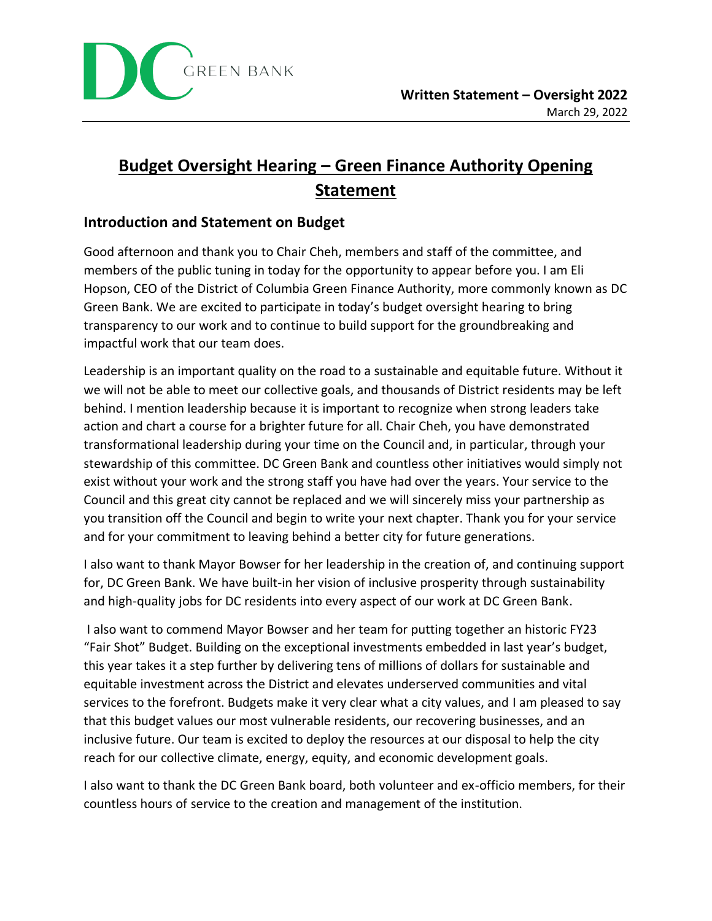

# **Budget Oversight Hearing – Green Finance Authority Opening Statement**

### **Introduction and Statement on Budget**

Good afternoon and thank you to Chair Cheh, members and staff of the committee, and members of the public tuning in today for the opportunity to appear before you. I am Eli Hopson, CEO of the District of Columbia Green Finance Authority, more commonly known as DC Green Bank. We are excited to participate in today's budget oversight hearing to bring transparency to our work and to continue to build support for the groundbreaking and impactful work that our team does.

Leadership is an important quality on the road to a sustainable and equitable future. Without it we will not be able to meet our collective goals, and thousands of District residents may be left behind. I mention leadership because it is important to recognize when strong leaders take action and chart a course for a brighter future for all. Chair Cheh, you have demonstrated transformational leadership during your time on the Council and, in particular, through your stewardship of this committee. DC Green Bank and countless other initiatives would simply not exist without your work and the strong staff you have had over the years. Your service to the Council and this great city cannot be replaced and we will sincerely miss your partnership as you transition off the Council and begin to write your next chapter. Thank you for your service and for your commitment to leaving behind a better city for future generations.

I also want to thank Mayor Bowser for her leadership in the creation of, and continuing support for, DC Green Bank. We have built-in her vision of inclusive prosperity through sustainability and high-quality jobs for DC residents into every aspect of our work at DC Green Bank.

I also want to commend Mayor Bowser and her team for putting together an historic FY23 "Fair Shot" Budget. Building on the exceptional investments embedded in last year's budget, this year takes it a step further by delivering tens of millions of dollars for sustainable and equitable investment across the District and elevates underserved communities and vital services to the forefront. Budgets make it very clear what a city values, and I am pleased to say that this budget values our most vulnerable residents, our recovering businesses, and an inclusive future. Our team is excited to deploy the resources at our disposal to help the city reach for our collective climate, energy, equity, and economic development goals.

I also want to thank the DC Green Bank board, both volunteer and ex-officio members, for their countless hours of service to the creation and management of the institution.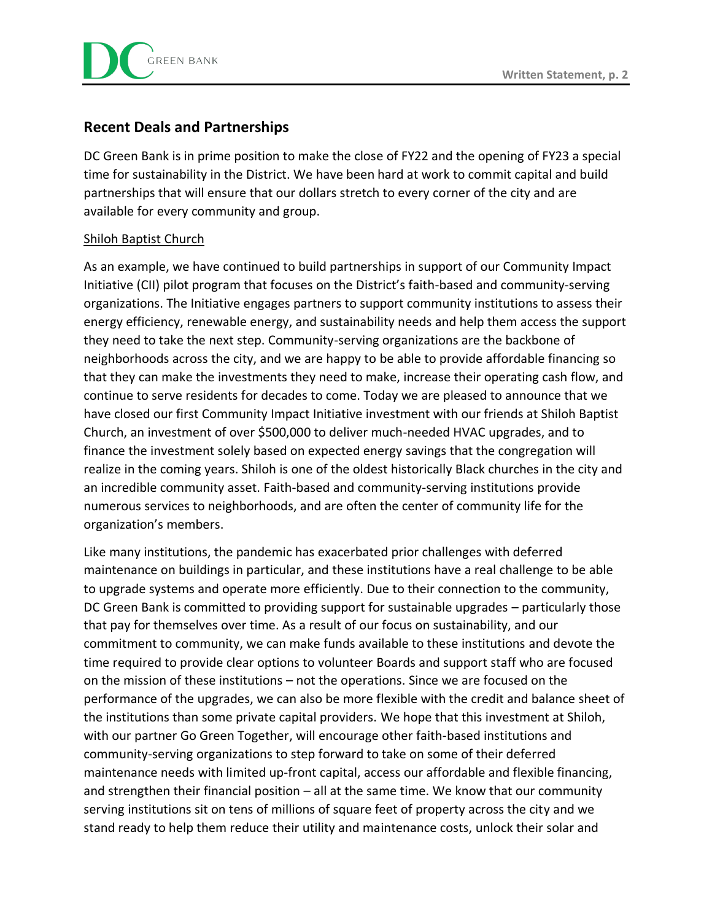

## **Recent Deals and Partnerships**

DC Green Bank is in prime position to make the close of FY22 and the opening of FY23 a special time for sustainability in the District. We have been hard at work to commit capital and build partnerships that will ensure that our dollars stretch to every corner of the city and are available for every community and group.

#### Shiloh Baptist Church

As an example, we have continued to build partnerships in support of our Community Impact Initiative (CII) pilot program that focuses on the District's faith-based and community-serving organizations. The Initiative engages partners to support community institutions to assess their energy efficiency, renewable energy, and sustainability needs and help them access the support they need to take the next step. Community-serving organizations are the backbone of neighborhoods across the city, and we are happy to be able to provide affordable financing so that they can make the investments they need to make, increase their operating cash flow, and continue to serve residents for decades to come. Today we are pleased to announce that we have closed our first Community Impact Initiative investment with our friends at Shiloh Baptist Church, an investment of over \$500,000 to deliver much-needed HVAC upgrades, and to finance the investment solely based on expected energy savings that the congregation will realize in the coming years. Shiloh is one of the oldest historically Black churches in the city and an incredible community asset. Faith-based and community-serving institutions provide numerous services to neighborhoods, and are often the center of community life for the organization's members.

Like many institutions, the pandemic has exacerbated prior challenges with deferred maintenance on buildings in particular, and these institutions have a real challenge to be able to upgrade systems and operate more efficiently. Due to their connection to the community, DC Green Bank is committed to providing support for sustainable upgrades – particularly those that pay for themselves over time. As a result of our focus on sustainability, and our commitment to community, we can make funds available to these institutions and devote the time required to provide clear options to volunteer Boards and support staff who are focused on the mission of these institutions – not the operations. Since we are focused on the performance of the upgrades, we can also be more flexible with the credit and balance sheet of the institutions than some private capital providers. We hope that this investment at Shiloh, with our partner Go Green Together, will encourage other faith-based institutions and community-serving organizations to step forward to take on some of their deferred maintenance needs with limited up-front capital, access our affordable and flexible financing, and strengthen their financial position – all at the same time. We know that our community serving institutions sit on tens of millions of square feet of property across the city and we stand ready to help them reduce their utility and maintenance costs, unlock their solar and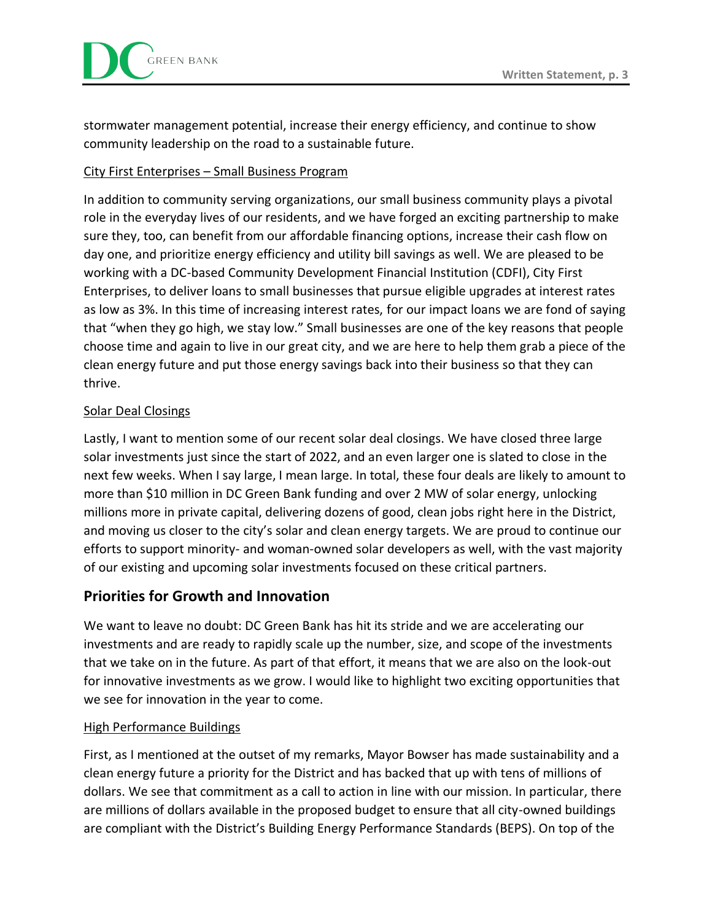stormwater management potential, increase their energy efficiency, and continue to show community leadership on the road to a sustainable future.

#### City First Enterprises – Small Business Program

In addition to community serving organizations, our small business community plays a pivotal role in the everyday lives of our residents, and we have forged an exciting partnership to make sure they, too, can benefit from our affordable financing options, increase their cash flow on day one, and prioritize energy efficiency and utility bill savings as well. We are pleased to be working with a DC-based Community Development Financial Institution (CDFI), City First Enterprises, to deliver loans to small businesses that pursue eligible upgrades at interest rates as low as 3%. In this time of increasing interest rates, for our impact loans we are fond of saying that "when they go high, we stay low." Small businesses are one of the key reasons that people choose time and again to live in our great city, and we are here to help them grab a piece of the clean energy future and put those energy savings back into their business so that they can thrive.

#### Solar Deal Closings

Lastly, I want to mention some of our recent solar deal closings. We have closed three large solar investments just since the start of 2022, and an even larger one is slated to close in the next few weeks. When I say large, I mean large. In total, these four deals are likely to amount to more than \$10 million in DC Green Bank funding and over 2 MW of solar energy, unlocking millions more in private capital, delivering dozens of good, clean jobs right here in the District, and moving us closer to the city's solar and clean energy targets. We are proud to continue our efforts to support minority- and woman-owned solar developers as well, with the vast majority of our existing and upcoming solar investments focused on these critical partners.

## **Priorities for Growth and Innovation**

We want to leave no doubt: DC Green Bank has hit its stride and we are accelerating our investments and are ready to rapidly scale up the number, size, and scope of the investments that we take on in the future. As part of that effort, it means that we are also on the look-out for innovative investments as we grow. I would like to highlight two exciting opportunities that we see for innovation in the year to come.

#### High Performance Buildings

First, as I mentioned at the outset of my remarks, Mayor Bowser has made sustainability and a clean energy future a priority for the District and has backed that up with tens of millions of dollars. We see that commitment as a call to action in line with our mission. In particular, there are millions of dollars available in the proposed budget to ensure that all city-owned buildings are compliant with the District's Building Energy Performance Standards (BEPS). On top of the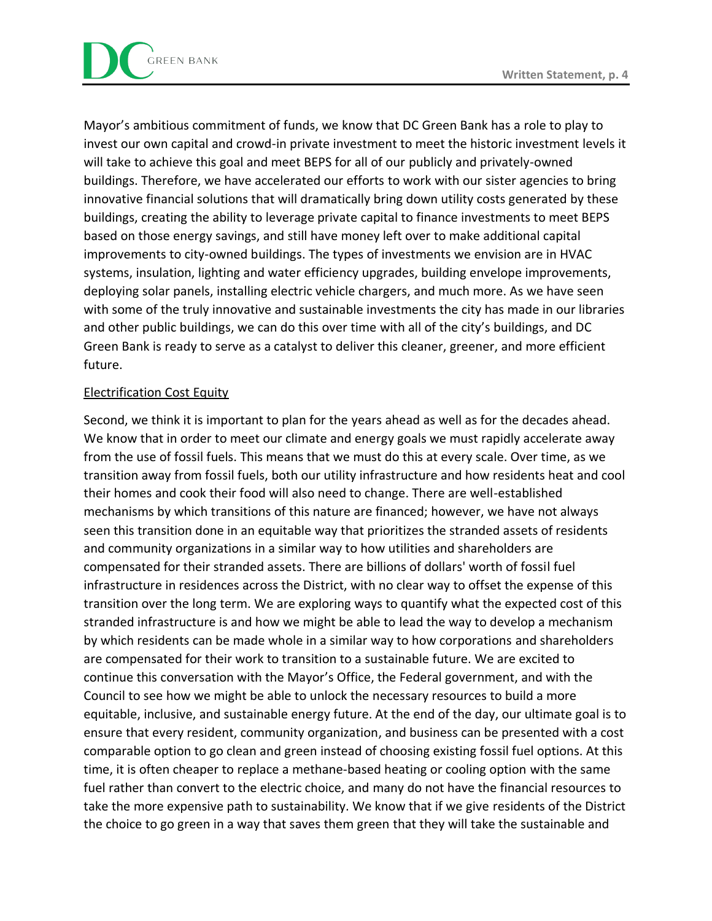Mayor's ambitious commitment of funds, we know that DC Green Bank has a role to play to invest our own capital and crowd-in private investment to meet the historic investment levels it will take to achieve this goal and meet BEPS for all of our publicly and privately-owned buildings. Therefore, we have accelerated our efforts to work with our sister agencies to bring innovative financial solutions that will dramatically bring down utility costs generated by these buildings, creating the ability to leverage private capital to finance investments to meet BEPS based on those energy savings, and still have money left over to make additional capital improvements to city-owned buildings. The types of investments we envision are in HVAC systems, insulation, lighting and water efficiency upgrades, building envelope improvements, deploying solar panels, installing electric vehicle chargers, and much more. As we have seen with some of the truly innovative and sustainable investments the city has made in our libraries and other public buildings, we can do this over time with all of the city's buildings, and DC Green Bank is ready to serve as a catalyst to deliver this cleaner, greener, and more efficient future.

#### Electrification Cost Equity

Second, we think it is important to plan for the years ahead as well as for the decades ahead. We know that in order to meet our climate and energy goals we must rapidly accelerate away from the use of fossil fuels. This means that we must do this at every scale. Over time, as we transition away from fossil fuels, both our utility infrastructure and how residents heat and cool their homes and cook their food will also need to change. There are well-established mechanisms by which transitions of this nature are financed; however, we have not always seen this transition done in an equitable way that prioritizes the stranded assets of residents and community organizations in a similar way to how utilities and shareholders are compensated for their stranded assets. There are billions of dollars' worth of fossil fuel infrastructure in residences across the District, with no clear way to offset the expense of this transition over the long term. We are exploring ways to quantify what the expected cost of this stranded infrastructure is and how we might be able to lead the way to develop a mechanism by which residents can be made whole in a similar way to how corporations and shareholders are compensated for their work to transition to a sustainable future. We are excited to continue this conversation with the Mayor's Office, the Federal government, and with the Council to see how we might be able to unlock the necessary resources to build a more equitable, inclusive, and sustainable energy future. At the end of the day, our ultimate goal is to ensure that every resident, community organization, and business can be presented with a cost comparable option to go clean and green instead of choosing existing fossil fuel options. At this time, it is often cheaper to replace a methane-based heating or cooling option with the same fuel rather than convert to the electric choice, and many do not have the financial resources to take the more expensive path to sustainability. We know that if we give residents of the District the choice to go green in a way that saves them green that they will take the sustainable and